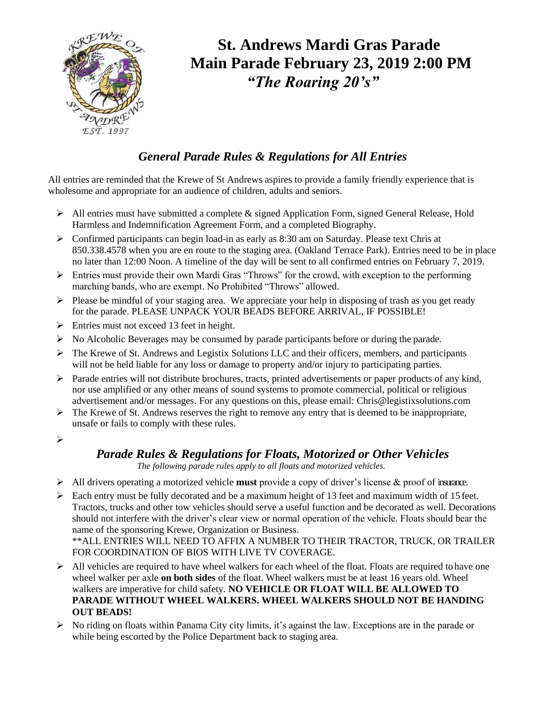

# **St. Andrews Mardi Gras Parade Main Parade February 23, 2019 2:00 PM** *"The Roaring 20's"*

### *General Parade Rules & Regulations for All Entries*

All entries are reminded that the Krewe of St Andrews aspires to provide a family friendly experience that is wholesome and appropriate for an audience of children, adults and seniors.

- $\triangleright$  All entries must have submitted a complete & signed Application Form, signed General Release, Hold Harmless and Indemnification Agreement Form, and a completed Biography.
- $\triangleright$  Confirmed participants can begin load-in as early as 8:30 am on Saturday. Please text Chris at 850.338.4578 when you are en route to the staging area. (Oakland Terrace Park). Entries need to be in place no later than 12:00 Noon. A timeline of the day will be sent to all confirmed entries on February 7, 2019.
- ➢ Entries must provide their own Mardi Gras "Throws" for the crowd, with exception to the performing marching bands, who are exempt. No Prohibited "Throws" allowed.
- $\triangleright$  Please be mindful of your staging area. We appreciate your help in disposing of trash as you get ready for the parade. PLEASE UNPACK YOUR BEADS BEFORE ARRIVAL, IF POSSIBLE!
- $\triangleright$  Entries must not exceed 13 feet in height.
- $\triangleright$  No Alcoholic Beverages may be consumed by parade participants before or during the parade.
- ➢ The Krewe of St. Andrews and Legistix Solutions LLC and their officers, members, and participants will not be held liable for any loss or damage to property and/or injury to participating parties.
- ➢ Parade entries will not distribute brochures, tracts, printed advertisements or paper products of any kind, nor use amplified or any other means of sound systems to promote commercial, political or religious advertisement and/or messages. For any questions on this, please email: Chris@legistixsolutions.com
- $\triangleright$  The Krewe of St. Andrews reserves the right to remove any entry that is deemed to be inappropriate, unsafe or fails to comply with these rules.
- ➢

#### *Parade Rules & Regulations for Floats, Motorized or Other Vehicles*

*The following parade rules apply to all floats and motorized vehicles.*

- ➢ All drivers operating a motorized vehicle **must** provide a copy of driver's license & proof of insurance.
- $\triangleright$  Each entry must be fully decorated and be a maximum height of 13 feet and maximum width of 15 feet. Tractors, trucks and other tow vehicles should serve a useful function and be decorated as well. Decorations should not interfere with the driver's clear view or normal operation of the vehicle. Floats should bear the name of the sponsoring Krewe, Organization or Business. \*\*ALL ENTRIES WILL NEED TO AFFIX A NUMBER TO THEIR TRACTOR, TRUCK, OR TRAILER FOR COORDINATION OF BIOS WITH LIVE TV COVERAGE.
- $\triangleright$  All vehicles are required to have wheel walkers for each wheel of the float. Floats are required to have one wheel walker per axle **on both sides** of the float. Wheel walkers must be at least 16 years old. Wheel walkers are imperative for child safety. **NO VEHICLE OR FLOAT WILL BE ALLOWED TO PARADE WITHOUT WHEEL WALKERS. WHEEL WALKERS SHOULD NOT BE HANDING OUT BEADS!**
- $\triangleright$  No riding on floats within Panama City city limits, it's against the law. Exceptions are in the parade or while being escorted by the Police Department back to staging area.